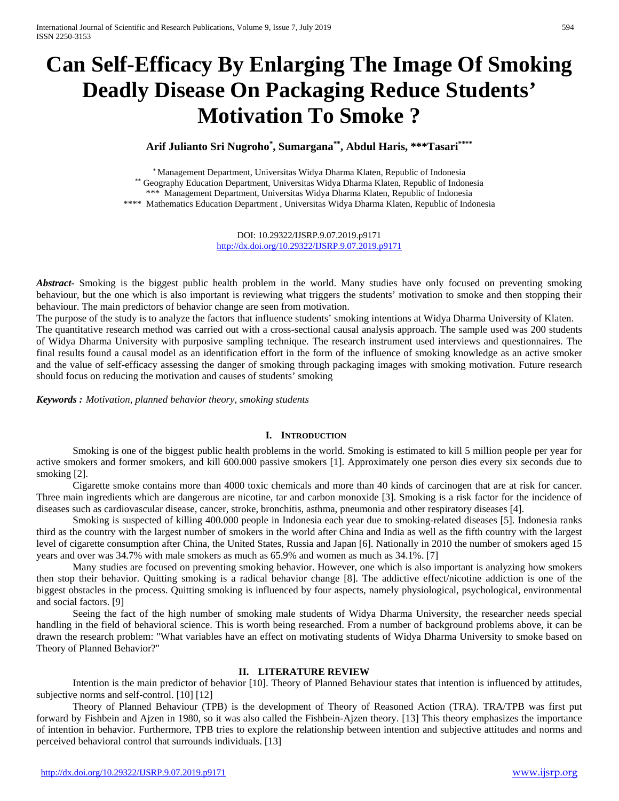# **Can Self-Efficacy By Enlarging The Image Of Smoking Deadly Disease On Packaging Reduce Students' Motivation To Smoke ?**

**Arif Julianto Sri Nugroho\* , Sumargana\*\*, Abdul Haris, \*\*\*Tasari\*\*\*\***

\* Management Department, Universitas Widya Dharma Klaten, Republic of Indonesia \*\* Geography Education Department, Universitas Widya Dharma Klaten, Republic of Indonesia \*\*\* Management Department, Universitas Widya Dharma Klaten, Republic of Indonesia \*\*\*\* Mathematics Education Department , Universitas Widya Dharma Klaten, Republic of Indonesia

> DOI: 10.29322/IJSRP.9.07.2019.p9171 <http://dx.doi.org/10.29322/IJSRP.9.07.2019.p9171>

*Abstract***-** Smoking is the biggest public health problem in the world. Many studies have only focused on preventing smoking behaviour, but the one which is also important is reviewing what triggers the students' motivation to smoke and then stopping their behaviour. The main predictors of behavior change are seen from motivation.

The purpose of the study is to analyze the factors that influence students' smoking intentions at Widya Dharma University of Klaten. The quantitative research method was carried out with a cross-sectional causal analysis approach. The sample used was 200 students of Widya Dharma University with purposive sampling technique. The research instrument used interviews and questionnaires. The final results found a causal model as an identification effort in the form of the influence of smoking knowledge as an active smoker and the value of self-efficacy assessing the danger of smoking through packaging images with smoking motivation. Future research should focus on reducing the motivation and causes of students' smoking

*Keywords : Motivation, planned behavior theory, smoking students*

## **I. INTRODUCTION**

Smoking is one of the biggest public health problems in the world. Smoking is estimated to kill 5 million people per year for active smokers and former smokers, and kill 600.000 passive smokers [1]. Approximately one person dies every six seconds due to smoking [2].

Cigarette smoke contains more than 4000 toxic chemicals and more than 40 kinds of carcinogen that are at risk for cancer. Three main ingredients which are dangerous are nicotine, tar and carbon monoxide [3]. Smoking is a risk factor for the incidence of diseases such as cardiovascular disease, cancer, stroke, bronchitis, asthma, pneumonia and other respiratory diseases [4].

Smoking is suspected of killing 400.000 people in Indonesia each year due to smoking-related diseases [5]. Indonesia ranks third as the country with the largest number of smokers in the world after China and India as well as the fifth country with the largest level of cigarette consumption after China, the United States, Russia and Japan [6]. Nationally in 2010 the number of smokers aged 15 years and over was 34.7% with male smokers as much as 65.9% and women as much as 34.1%. [7]

Many studies are focused on preventing smoking behavior. However, one which is also important is analyzing how smokers then stop their behavior. Quitting smoking is a radical behavior change [8]. The addictive effect/nicotine addiction is one of the biggest obstacles in the process. Quitting smoking is influenced by four aspects, namely physiological, psychological, environmental and social factors. [9]

Seeing the fact of the high number of smoking male students of Widya Dharma University, the researcher needs special handling in the field of behavioral science. This is worth being researched. From a number of background problems above, it can be drawn the research problem: "What variables have an effect on motivating students of Widya Dharma University to smoke based on Theory of Planned Behavior?"

## **II. LITERATURE REVIEW**

Intention is the main predictor of behavior [10]. Theory of Planned Behaviour states that intention is influenced by attitudes, subjective norms and self-control. [10] [12]

Theory of Planned Behaviour (TPB) is the development of Theory of Reasoned Action (TRA). TRA/TPB was first put forward by Fishbein and Ajzen in 1980, so it was also called the Fishbein-Ajzen theory. [13] This theory emphasizes the importance of intention in behavior. Furthermore, TPB tries to explore the relationship between intention and subjective attitudes and norms and perceived behavioral control that surrounds individuals. [13]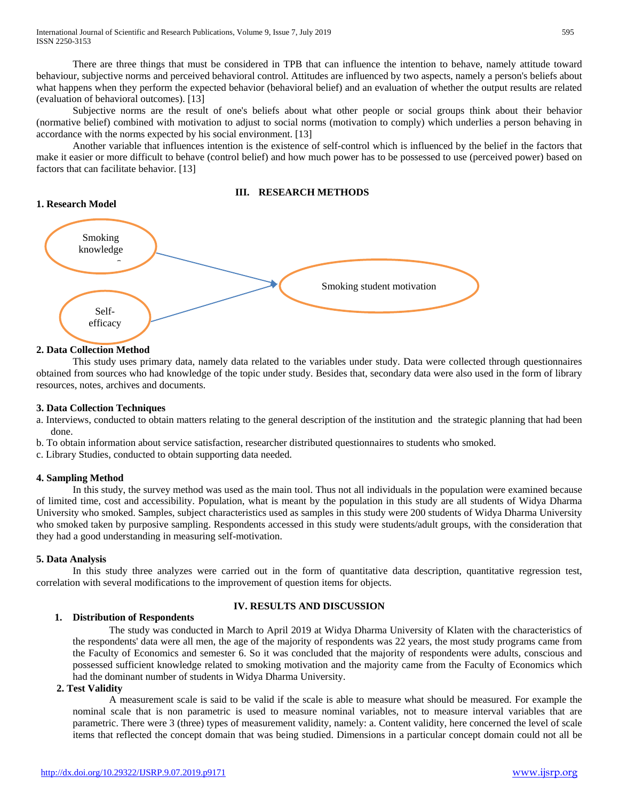There are three things that must be considered in TPB that can influence the intention to behave, namely attitude toward behaviour, subjective norms and perceived behavioral control. Attitudes are influenced by two aspects, namely a person's beliefs about what happens when they perform the expected behavior (behavioral belief) and an evaluation of whether the output results are related (evaluation of behavioral outcomes). [13]

Subjective norms are the result of one's beliefs about what other people or social groups think about their behavior (normative belief) combined with motivation to adjust to social norms (motivation to comply) which underlies a person behaving in accordance with the norms expected by his social environment. [13]

Another variable that influences intention is the existence of self-control which is influenced by the belief in the factors that make it easier or more difficult to behave (control belief) and how much power has to be possessed to use (perceived power) based on factors that can facilitate behavior. [13]

#### **III. RESEARCH METHODS**



# **2. Data Collection Method**

This study uses primary data, namely data related to the variables under study. Data were collected through questionnaires obtained from sources who had knowledge of the topic under study. Besides that, secondary data were also used in the form of library resources, notes, archives and documents.

## **3. Data Collection Techniques**

a. Interviews, conducted to obtain matters relating to the general description of the institution and the strategic planning that had been done.

b. To obtain information about service satisfaction, researcher distributed questionnaires to students who smoked.

c. Library Studies, conducted to obtain supporting data needed.

## **4. Sampling Method**

In this study, the survey method was used as the main tool. Thus not all individuals in the population were examined because of limited time, cost and accessibility. Population, what is meant by the population in this study are all students of Widya Dharma University who smoked. Samples, subject characteristics used as samples in this study were 200 students of Widya Dharma University who smoked taken by purposive sampling. Respondents accessed in this study were students/adult groups, with the consideration that they had a good understanding in measuring self-motivation.

## **5. Data Analysis**

In this study three analyzes were carried out in the form of quantitative data description, quantitative regression test, correlation with several modifications to the improvement of question items for objects.

# **1. Distribution of Respondents**

# **IV. RESULTS AND DISCUSSION**

The study was conducted in March to April 2019 at Widya Dharma University of Klaten with the characteristics of the respondents' data were all men, the age of the majority of respondents was 22 years, the most study programs came from the Faculty of Economics and semester 6. So it was concluded that the majority of respondents were adults, conscious and possessed sufficient knowledge related to smoking motivation and the majority came from the Faculty of Economics which had the dominant number of students in Widya Dharma University.

# **2. Test Validity**

A measurement scale is said to be valid if the scale is able to measure what should be measured. For example the nominal scale that is non parametric is used to measure nominal variables, not to measure interval variables that are parametric. There were 3 (three) types of measurement validity, namely: a. Content validity, here concerned the level of scale items that reflected the concept domain that was being studied. Dimensions in a particular concept domain could not all be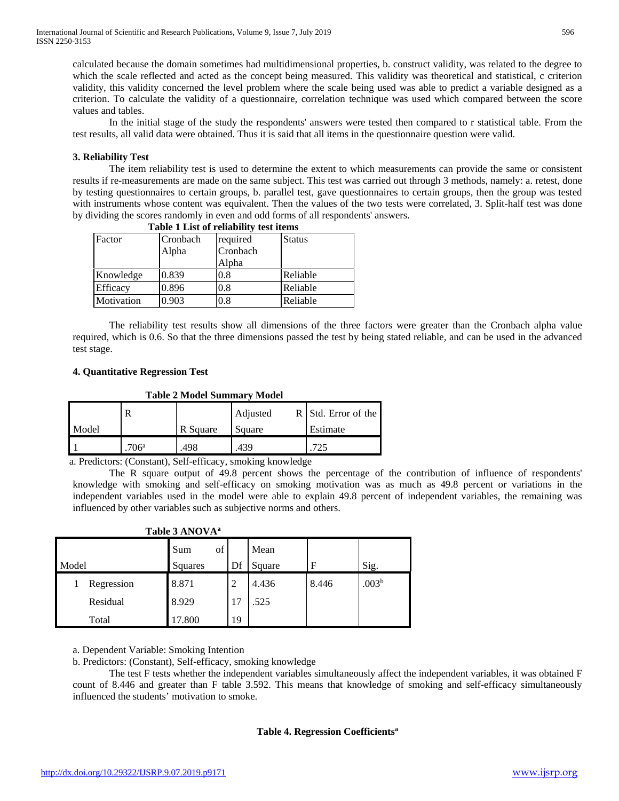calculated because the domain sometimes had multidimensional properties, b. construct validity, was related to the degree to which the scale reflected and acted as the concept being measured. This validity was theoretical and statistical, c criterion validity, this validity concerned the level problem where the scale being used was able to predict a variable designed as a criterion. To calculate the validity of a questionnaire, correlation technique was used which compared between the score values and tables.

In the initial stage of the study the respondents' answers were tested then compared to r statistical table. From the test results, all valid data were obtained. Thus it is said that all items in the questionnaire question were valid.

# **3. Reliability Test**

The item reliability test is used to determine the extent to which measurements can provide the same or consistent results if re-measurements are made on the same subject. This test was carried out through 3 methods, namely: a. retest, done by testing questionnaires to certain groups, b. parallel test, gave questionnaires to certain groups, then the group was tested with instruments whose content was equivalent. Then the values of the two tests were correlated, 3. Split-half test was done by dividing the scores randomly in even and odd forms of all respondents' answers. **Table 1 List of reliability test items**

| <b>THRUSH</b> TELEST OF FRIHMILLY LEST HEILS |                      |          |               |  |  |
|----------------------------------------------|----------------------|----------|---------------|--|--|
| Factor                                       | required<br>Cronbach |          | <b>Status</b> |  |  |
|                                              | Alpha                | Cronbach |               |  |  |
|                                              |                      | Alpha    |               |  |  |
| Knowledge                                    | 0.839                | 0.8      | Reliable      |  |  |
| Efficacy                                     | 0.896                | 0.8      | Reliable      |  |  |
| Motivation                                   | 0.903                | 0.8      | Reliable      |  |  |

The reliability test results show all dimensions of the three factors were greater than the Cronbach alpha value required, which is 0.6. So that the three dimensions passed the test by being stated reliable, and can be used in the advanced test stage.

# **4. Quantitative Regression Test**

**Table 2 Model Summary Model**

|       |      |          | Adjusted | R Std. Error of the |
|-------|------|----------|----------|---------------------|
| Model |      | R Square | Square   | Estimate            |
|       | 706a | 498      | 439      |                     |

a. Predictors: (Constant), Self-efficacy, smoking knowledge

The R square output of 49.8 percent shows the percentage of the contribution of influence of respondents' knowledge with smoking and self-efficacy on smoking motivation was as much as 49.8 percent or variations in the independent variables used in the model were able to explain 49.8 percent of independent variables, the remaining was influenced by other variables such as subjective norms and others.

|       | .          |           |    |        |       |                   |
|-------|------------|-----------|----|--------|-------|-------------------|
|       |            | of<br>Sum |    | Mean   |       |                   |
| Model |            | Squares   | Df | Square | F     | Sig.              |
|       | Regression | 8.871     | 2  | 4.436  | 8.446 | .003 <sup>b</sup> |
|       | Residual   | 8.929     | 17 | .525   |       |                   |
|       | Total      | 17.800    | 19 |        |       |                   |

# **Table 3 ANOVAa**

a. Dependent Variable: Smoking Intention

b. Predictors: (Constant), Self-efficacy, smoking knowledge

The test F tests whether the independent variables simultaneously affect the independent variables, it was obtained F count of 8.446 and greater than F table 3.592. This means that knowledge of smoking and self-efficacy simultaneously influenced the students' motivation to smoke.

## **Table 4. Regression Coefficientsa**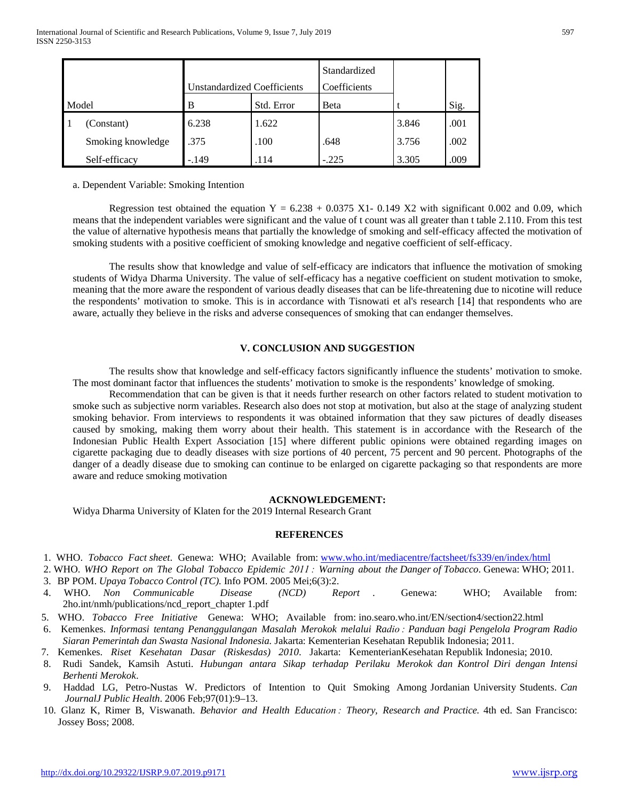|       |                   |                             |            | Standardized |       |      |
|-------|-------------------|-----------------------------|------------|--------------|-------|------|
|       |                   | Unstandardized Coefficients |            | Coefficients |       |      |
| Model |                   | в                           | Std. Error | Beta         |       | Sig. |
|       | (Constant)        | 6.238                       | 1.622      |              | 3.846 | .001 |
|       | Smoking knowledge | .375                        | .100       | .648         | 3.756 | .002 |
|       | Self-efficacy     | $-.149$                     | .114       | $-.225$      | 3.305 | .009 |

a. Dependent Variable: Smoking Intention

Regression test obtained the equation  $Y = 6.238 + 0.0375$  X1- 0.149 X2 with significant 0.002 and 0.09, which means that the independent variables were significant and the value of t count was all greater than t table 2.110. From this test the value of alternative hypothesis means that partially the knowledge of smoking and self-efficacy affected the motivation of smoking students with a positive coefficient of smoking knowledge and negative coefficient of self-efficacy.

The results show that knowledge and value of self-efficacy are indicators that influence the motivation of smoking students of Widya Dharma University. The value of self-efficacy has a negative coefficient on student motivation to smoke, meaning that the more aware the respondent of various deadly diseases that can be life-threatening due to nicotine will reduce the respondents' motivation to smoke. This is in accordance with Tisnowati et al's research [14] that respondents who are aware, actually they believe in the risks and adverse consequences of smoking that can endanger themselves.

# **V. CONCLUSION AND SUGGESTION**

The results show that knowledge and self-efficacy factors significantly influence the students' motivation to smoke. The most dominant factor that influences the students' motivation to smoke is the respondents' knowledge of smoking.

Recommendation that can be given is that it needs further research on other factors related to student motivation to smoke such as subjective norm variables. Research also does not stop at motivation, but also at the stage of analyzing student smoking behavior. From interviews to respondents it was obtained information that they saw pictures of deadly diseases caused by smoking, making them worry about their health. This statement is in accordance with the Research of the Indonesian Public Health Expert Association [15] where different public opinions were obtained regarding images on cigarette packaging due to deadly diseases with size portions of 40 percent, 75 percent and 90 percent. Photographs of the danger of a deadly disease due to smoking can continue to be enlarged on cigarette packaging so that respondents are more aware and reduce smoking motivation

## **ACKNOWLEDGEMENT:**

Widya Dharma University of Klaten for the 2019 Internal Research Grant

#### **REFERENCES**

- 1. WHO. *Tobacco Fact sheet*. Genewa: WHO; Available from: [www.who.int/mediacentre/factsheet/fs339/en/index/html](http://www.who.int/mediacentre/factsheet/fs339/en/index/html)
- 2. WHO. *WHO Report on The Global Tobacco Epidemic 2011 : Warning about the Danger of Tobacco*. Genewa: WHO; 2011.
- 3. BP POM. *Upaya Tobacco Control (TC).* Info POM. 2005 Mei;6(3):2.
- 4. WHO. *Non Communicable Disease (NCD) Report* . Genewa: WHO; Available from: 2ho.int/nmh/publications/ncd\_report\_chapter 1.pdf
- 5. WHO. *Tobacco Free Initiative* Genewa: WHO; Available from: ino.searo.who.int/EN/section4/section22.html
- 6. Kemenkes. *Informasi tentang Penanggulangan Masalah Merokok melalui Radio : Panduan bagi Pengelola Program Radio Siaran Pemerintah dan Swasta Nasional Indonesia.* Jakarta: Kementerian Kesehatan Republik Indonesia; 2011.
- 7. Kemenkes. *Riset Kesehatan Dasar (Riskesdas) 2010*. Jakarta: KementerianKesehatan Republik Indonesia; 2010.
- 8. Rudi Sandek, Kamsih Astuti. *Hubungan antara Sikap terhadap Perilaku Merokok dan Kontrol Diri dengan Intensi Berhenti Merokok*.
- 9. Haddad LG, Petro-Nustas W. Predictors of Intention to Quit Smoking Among Jordanian University Students. *Can JournalJ Public Health*. 2006 Feb;97(01):9–13.
- 10. Glanz K, Rimer B, Viswanath. *Behavior and Health Education : Theory, Research and Practice.* 4th ed. San Francisco: Jossey Boss; 2008.